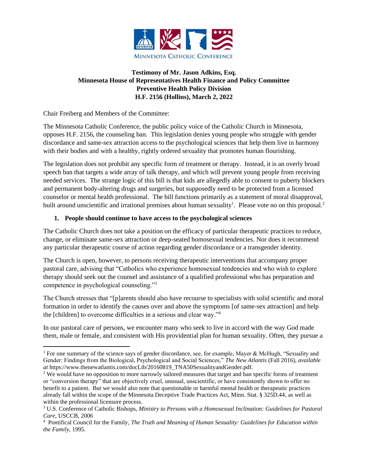

# **Testimony of Mr. Jason Adkins, Esq. Minnesota House of Representatives Health Finance and Policy Committee Preventive Health Policy Division H.F. 2156 (Hollins), March 2, 2022**

Chair Freiberg and Members of the Committee:

The Minnesota Catholic Conference, the public policy voice of the Catholic Church in Minnesota, opposes H.F. 2156, the counseling ban. This legislation denies young people who struggle with gender discordance and same-sex attraction access to the psychological sciences that help them live in harmony with their bodies and with a healthy, rightly ordered sexuality that promotes human flourishing.

The legislation does not prohibit any specific form of treatment or therapy. Instead, it is an overly broad speech ban that targets a wide array of talk therapy, and which will prevent young people from receiving needed services. The strange logic of this bill is that kids are allegedly able to consent to puberty blockers and permanent body-altering drugs and surgeries, but supposedly need to be protected from a licensed counselor or mental health professional. The bill functions primarily as a statement of moral disapproval, built around unscientific and irrational premises about human sexuality<sup>1</sup>. Please vote no on this proposal.<sup>2</sup>

# **1. People should continue to have access to the psychological sciences**

The Catholic Church does not take a position on the efficacy of particular therapeutic practices to reduce, change, or eliminate same-sex attraction or deep-seated homosexual tendencies. Nor does it recommend any particular therapeutic course of action regarding gender discordance or a transgender identity.

The Church is open, however, to persons receiving therapeutic interventions that accompany proper pastoral care, advising that "Catholics who experience homosexual tendencies and who wish to explore therapy should seek out the counsel and assistance of a qualified professional who has preparation and competence in psychological counseling."<sup>3</sup>

The Church stresses that "[p]arents should also have recourse to specialists with solid scientific and moral formation in order to identify the causes over and above the symptoms [of same-sex attraction] and help the [children] to overcome difficulties in a serious and clear way."<sup>4</sup>

In our pastoral care of persons, we encounter many who seek to live in accord with the way God made them, male or female, and consistent with His providential plan for human sexuality. Often, they pursue a

<sup>1</sup> For one summary of the science says of gender discordance, see, for example, Mayer & McHugh, "Sexuality and Gender: Findings from the Biological, Psychological and Social Sciences," *The New Atlantis* (Fall 2016), *available at* https://www.thenewatlantis.com/docLib/20160819\_TNA50SexualityandGender.pdf.

<sup>&</sup>lt;sup>2</sup> We would have no opposition to more narrowly tailored measures that target and ban specific forms of treatment or "conversion therapy" that are objectively cruel, unusual, unscientific, or have consistently shown to offer no benefit to a patient. But we would also note that questionable or harmful mental health or therapeutic practices already fall within the scope of the Minnesota Deceptive Trade Practices Act, Minn. Stat. § 325D.44, as well as within the professional licensure process.

<sup>3</sup> U.S. Conference of Catholic Bishops, *Ministry to Persons with a Homosexual Inclination: Guidelines for Pastoral Care*, USCCB, 2006

<sup>4</sup> Pontifical Council for the Family*, The Truth and Meaning of Human Sexuality: Guidelines for Education within the Family*, 1995.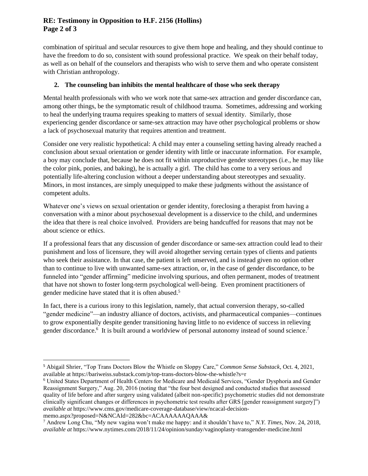## **RE: Testimony in Opposition to H.F. 2156 (Hollins) Page 2 of 3**

combination of spiritual and secular resources to give them hope and healing, and they should continue to have the freedom to do so, consistent with sound professional practice. We speak on their behalf today, as well as on behalf of the counselors and therapists who wish to serve them and who operate consistent with Christian anthropology.

### **2. The counseling ban inhibits the mental healthcare of those who seek therapy**

Mental health professionals with who we work note that same-sex attraction and gender discordance can, among other things, be the symptomatic result of childhood trauma. Sometimes, addressing and working to heal the underlying trauma requires speaking to matters of sexual identity. Similarly, those experiencing gender discordance or same-sex attraction may have other psychological problems or show a lack of psychosexual maturity that requires attention and treatment.

Consider one very realistic hypothetical: A child may enter a counseling setting having already reached a conclusion about sexual orientation or gender identity with little or inaccurate information. For example, a boy may conclude that, because he does not fit within unproductive gender stereotypes (i.e., he may like the color pink, ponies, and baking), he is actually a girl. The child has come to a very serious and potentially life-altering conclusion without a deeper understanding about stereotypes and sexuality. Minors, in most instances, are simply unequipped to make these judgments without the assistance of competent adults.

Whatever one's views on sexual orientation or gender identity, foreclosing a therapist from having a conversation with a minor about psychosexual development is a disservice to the child, and undermines the idea that there is real choice involved. Providers are being handcuffed for reasons that may not be about science or ethics.

If a professional fears that any discussion of gender discordance or same-sex attraction could lead to their punishment and loss of licensure, they will avoid altogether serving certain types of clients and patients who seek their assistance. In that case, the patient is left unserved, and is instead given no option other than to continue to live with unwanted same-sex attraction, or, in the case of gender discordance, to be funneled into "gender affirming" medicine involving spurious, and often permanent, modes of treatment that have not shown to foster long-term psychological well-being. Even prominent practitioners of gender medicine have stated that it is often abused.<sup>5</sup>

In fact, there is a curious irony to this legislation, namely, that actual conversion therapy, so-called "gender medicine"—an industry alliance of doctors, activists, and pharmaceutical companies—continues to grow exponentially despite gender transitioning having little to no evidence of success in relieving gender discordance.<sup>6</sup> It is built around a worldview of personal autonomy instead of sound science.<sup>7</sup>

memo.aspx?proposed=N&NCAId=282&bc=ACAAAAAAQAAA&

<sup>5</sup> Abigail Shrier, "Top Trans Doctors Blow the Whistle on Sloppy Care," *Common Sense Substack*, Oct. 4, 2021, available at https://bariweiss.substack.com/p/top-trans-doctors-blow-the-whistle?s=r

<sup>6</sup> United States Department of Health Centers for Medicare and Medicaid Services, "Gender Dysphoria and Gender Reassignment Surgery," Aug. 20, 2016 (noting that "the four best designed and conducted studies that assessed quality of life before and after surgery using validated (albeit non-specific) psychometric studies did not demonstrate clinically significant changes or differences in psychometric test results after GRS [gender reassignment surgery]") *available at* https://www.cms.gov/medicare-coverage-database/view/ncacal-decision-

<sup>7</sup> Andrew Long Chu, "My new vagina won't make me happy: and it shouldn't have to," *N.Y. Times*, Nov. 24, 2018, *available at* https://www.nytimes.com/2018/11/24/opinion/sunday/vaginoplasty-transgender-medicine.html